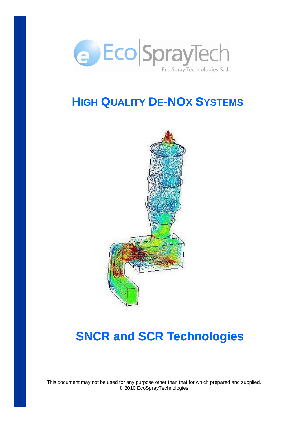

## **HIGH QUALITY DE-NOX SYSTEMS**



# **SNCR and SCR Technologies**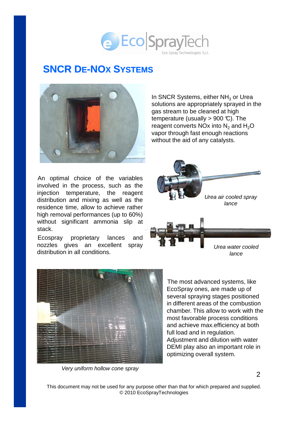### e Eco SprayTech Eco Spray Technologies S.r.l.

### **SNCR DE-NOX SYSTEMS**



An optimal choice of the variables involved in the process, such as the injection temperature, the reagent distribution and mixing as well as the residence time, allow to achieve rather high removal performances (up to 60%) without significant ammonia slip at stack.

Ecospray proprietary lances and nozzles gives an excellent spray distribution in all conditions.

In SNCR Systems, either  $NH<sub>3</sub>$  or Urea solutions are appropriately sprayed in the gas stream to be cleaned at high temperature (usually  $> 900 \text{ C}$ ). The reagent converts NO<sub>x</sub> into  $N_2$  and  $H_2O$ vapor through fast enough reactions without the aid of any catalysts.



Urea water cooled lance



Very uniform hollow cone spray

The most advanced systems, like EcoSpray ones, are made up of several spraying stages positioned in different areas of the combustion chamber. This allow to work with the most favorable process conditions and achieve max.efficiency at both full load and in regulation. Adjustment and dilution with water DEMI play also an important role in optimizing overall system.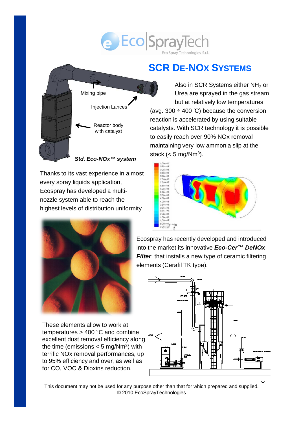## e Eco SprayTech Spray Technologies S.r.

## **SCR DE-NOX SYSTEMS**

Also in SCR Systems either  $NH<sub>3</sub>$  or Urea are sprayed in the gas stream but at relatively low temperatures (avg. 300  $\div$  400 °C) because the conversion reaction is accelerated by using suitable catalysts. With SCR technology it is possible to easily reach over 90% NOx removal maintaining very low ammonia slip at the stack (< 5 mg/Nm<sup>3</sup>).



nozzle system able to reach the highest levels of distribution uniformity

Thanks to its vast experience in almost

Mixing pipe

Injection Lances

Reactor body with catalyst

**Std. Eco-NOx™ system**

every spray liquids application, Ecospray has developed a multi-

elements (Cerafil TK type).

These elements allow to work at temperatures > 400 °C and combine excellent dust removal efficiency along the time (emissions  $< 5$  mg/Nm<sup>3</sup>) with terrific NOx removal performances, up to 95% efficiency and over, as well as for CO, VOC & Dioxins reduction.

Ecospray has recently developed and introduced into the market its innovative **Eco-Cer™ DeNOx Filter** that installs a new type of ceramic filtering

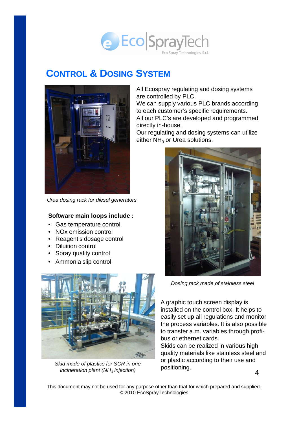

#### **CONTROL & DOSING SYSTEM**



Urea dosing rack for diesel generators

#### **Software main loops include :**

- Gas temperature control
- NOx emission control
- Reagent's dosage control
- Diluition control
- Spray quality control
- Ammonia slip control



Skid made of plastics for SCR in one incineration plant (NH $_3$  injection)

All Ecospray regulating and dosing systems are controlled by PLC.

We can supply various PLC brands according to each customer's specific requirements. All our PLC's are developed and programmed

directly in-house.

Our regulating and dosing systems can utilize either  $NH<sub>3</sub>$  or Urea solutions.



Dosing rack made of stainless steel

A graphic touch screen display is installed on the control box. It helps to easily set up all regulations and monitor the process variables. It is also possible to transfer a.m. variables through profibus or ethernet cards.

Skids can be realized in various high quality materials like stainless steel and or plastic according to their use and positioning.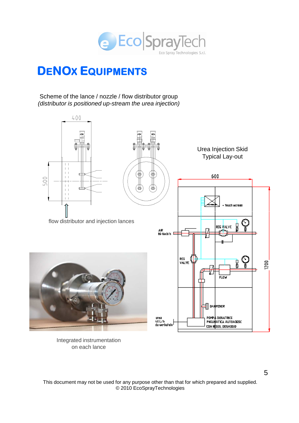

## DENOX EQUIPMENTS

#### Scheme of the lance / nozzle / flow distributor group (distributor is positioned up-stream the urea injection)



Integrated instrumentation on each lance